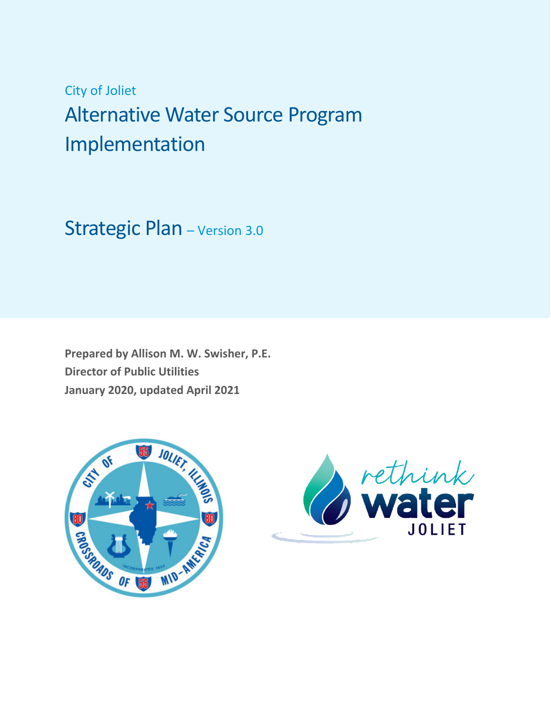# City of Joliet Alternative Water Source Program Implementation

Strategic Plan - Version 3.0

**Prepared by Allison M. W. Swisher, P.E. Director of Public Utilities January 2020, updated April 2021**



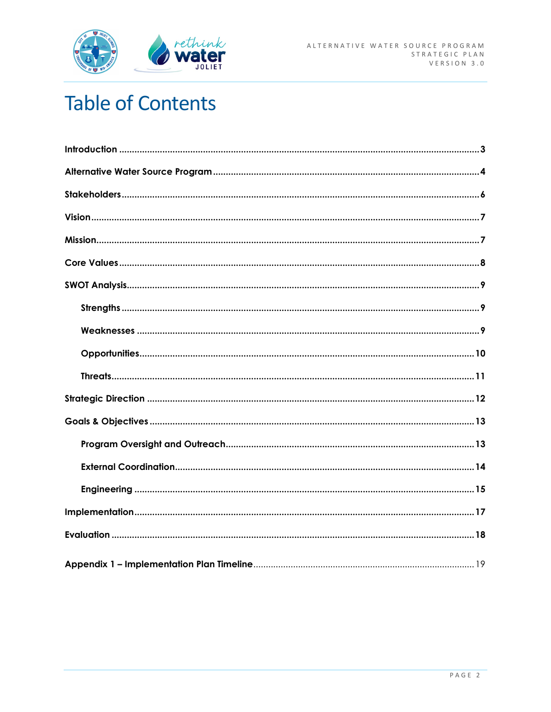

# **Table of Contents**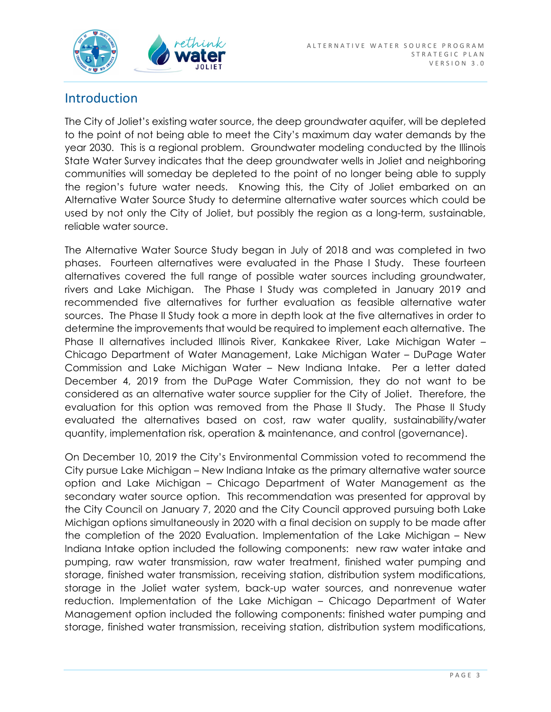

# **Introduction**

The City of Joliet's existing water source, the deep groundwater aquifer, will be depleted to the point of not being able to meet the City's maximum day water demands by the year 2030. This is a regional problem. Groundwater modeling conducted by the Illinois State Water Survey indicates that the deep groundwater wells in Joliet and neighboring communities will someday be depleted to the point of no longer being able to supply the region's future water needs. Knowing this, the City of Joliet embarked on an Alternative Water Source Study to determine alternative water sources which could be used by not only the City of Joliet, but possibly the region as a long-term, sustainable, reliable water source.

The Alternative Water Source Study began in July of 2018 and was completed in two phases. Fourteen alternatives were evaluated in the Phase I Study. These fourteen alternatives covered the full range of possible water sources including groundwater, rivers and Lake Michigan. The Phase I Study was completed in January 2019 and recommended five alternatives for further evaluation as feasible alternative water sources. The Phase II Study took a more in depth look at the five alternatives in order to determine the improvements that would be required to implement each alternative. The Phase II alternatives included Illinois River, Kankakee River, Lake Michigan Water – Chicago Department of Water Management, Lake Michigan Water – DuPage Water Commission and Lake Michigan Water – New Indiana Intake. Per a letter dated December 4, 2019 from the DuPage Water Commission, they do not want to be considered as an alternative water source supplier for the City of Joliet. Therefore, the evaluation for this option was removed from the Phase II Study. The Phase II Study evaluated the alternatives based on cost, raw water quality, sustainability/water quantity, implementation risk, operation & maintenance, and control (governance).

On December 10, 2019 the City's Environmental Commission voted to recommend the City pursue Lake Michigan – New Indiana Intake as the primary alternative water source option and Lake Michigan – Chicago Department of Water Management as the secondary water source option. This recommendation was presented for approval by the City Council on January 7, 2020 and the City Council approved pursuing both Lake Michigan options simultaneously in 2020 with a final decision on supply to be made after the completion of the 2020 Evaluation. Implementation of the Lake Michigan – New Indiana Intake option included the following components: new raw water intake and pumping, raw water transmission, raw water treatment, finished water pumping and storage, finished water transmission, receiving station, distribution system modifications, storage in the Joliet water system, back-up water sources, and nonrevenue water reduction. Implementation of the Lake Michigan – Chicago Department of Water Management option included the following components: finished water pumping and storage, finished water transmission, receiving station, distribution system modifications,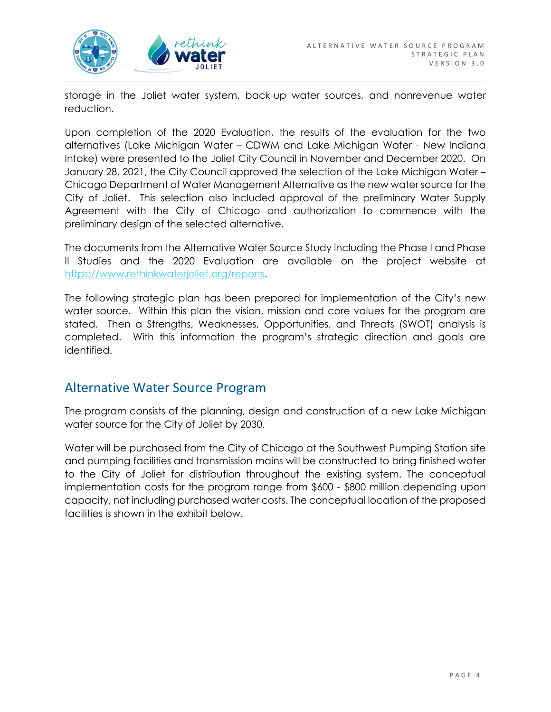

storage in the Joliet water system, back-up water sources, and nonrevenue water reduction.

Upon completion of the 2020 Evaluation, the results of the evaluation for the two alternatives (Lake Michigan Water – CDWM and Lake Michigan Water - New Indiana Intake) were presented to the Joliet City Council in November and December 2020. On January 28, 2021, the City Council approved the selection of the Lake Michigan Water – Chicago Department of Water Management Alternative as the new water source for the City of Joliet. This selection also included approval of the preliminary Water Supply Agreement with the City of Chicago and authorization to commence with the preliminary design of the selected alternative.

The documents from the Alternative Water Source Study including the Phase I and Phase II Studies and the 2020 Evaluation are available on the project website at [https://www.rethinkwaterjoliet.org/reports.](https://www.rethinkwaterjoliet.org/reports)

The following strategic plan has been prepared for implementation of the City's new water source. Within this plan the vision, mission and core values for the program are stated. Then a Strengths, Weaknesses, Opportunities, and Threats (SWOT) analysis is completed. With this information the program's strategic direction and goals are identified.

## Alternative Water Source Program

The program consists of the planning, design and construction of a new Lake Michigan water source for the City of Joliet by 2030.

Water will be purchased from the City of Chicago at the Southwest Pumping Station site and pumping facilities and transmission mains will be constructed to bring finished water to the City of Joliet for distribution throughout the existing system. The conceptual implementation costs for the program range from \$600 - \$800 million depending upon capacity, not including purchased water costs. The conceptual location of the proposed facilities is shown in the exhibit below.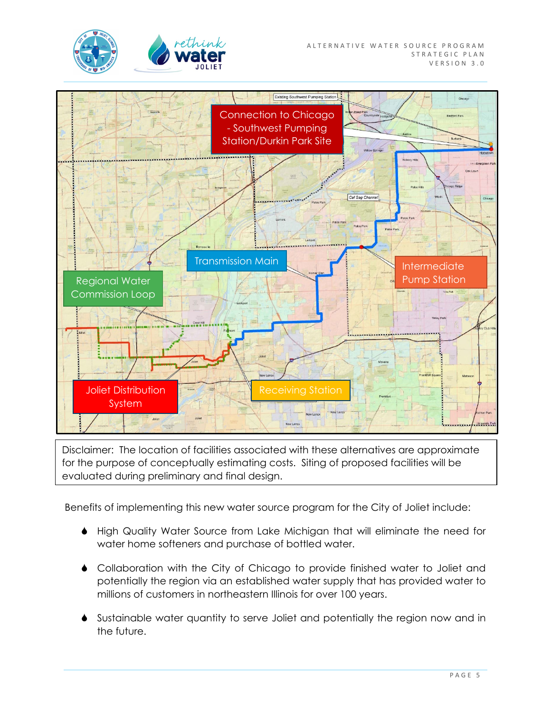



Disclaimer: The location of facilities associated with these alternatives are approximate for the purpose of conceptually estimating costs. Siting of proposed facilities will be evaluated during preliminary and final design.

Benefits of implementing this new water source program for the City of Joliet include:

- High Quality Water Source from Lake Michigan that will eliminate the need for water home softeners and purchase of bottled water.
- Collaboration with the City of Chicago to provide finished water to Joliet and potentially the region via an established water supply that has provided water to millions of customers in northeastern Illinois for over 100 years.
- Sustainable water quantity to serve Joliet and potentially the region now and in the future.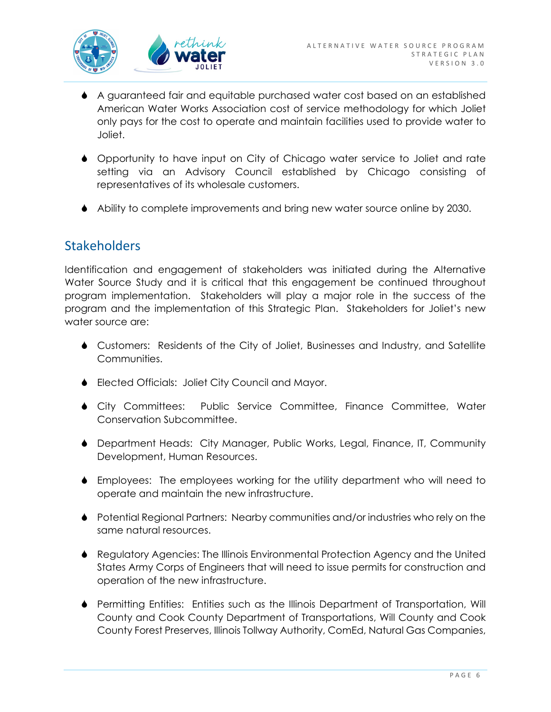

- A guaranteed fair and equitable purchased water cost based on an established American Water Works Association cost of service methodology for which Joliet only pays for the cost to operate and maintain facilities used to provide water to Joliet.
- Opportunity to have input on City of Chicago water service to Joliet and rate setting via an Advisory Council established by Chicago consisting of representatives of its wholesale customers.
- Ability to complete improvements and bring new water source online by 2030.

## **Stakeholders**

Identification and engagement of stakeholders was initiated during the Alternative Water Source Study and it is critical that this engagement be continued throughout program implementation. Stakeholders will play a major role in the success of the program and the implementation of this Strategic Plan. Stakeholders for Joliet's new water source are:

- Customers: Residents of the City of Joliet, Businesses and Industry, and Satellite Communities.
- Elected Officials: Joliet City Council and Mayor.
- City Committees: Public Service Committee, Finance Committee, Water Conservation Subcommittee.
- Department Heads: City Manager, Public Works, Legal, Finance, IT, Community Development, Human Resources.
- Employees: The employees working for the utility department who will need to operate and maintain the new infrastructure.
- Potential Regional Partners: Nearby communities and/or industries who rely on the same natural resources.
- Regulatory Agencies: The Illinois Environmental Protection Agency and the United States Army Corps of Engineers that will need to issue permits for construction and operation of the new infrastructure.
- Permitting Entities: Entities such as the Illinois Department of Transportation, Will County and Cook County Department of Transportations, Will County and Cook County Forest Preserves, Illinois Tollway Authority, ComEd, Natural Gas Companies,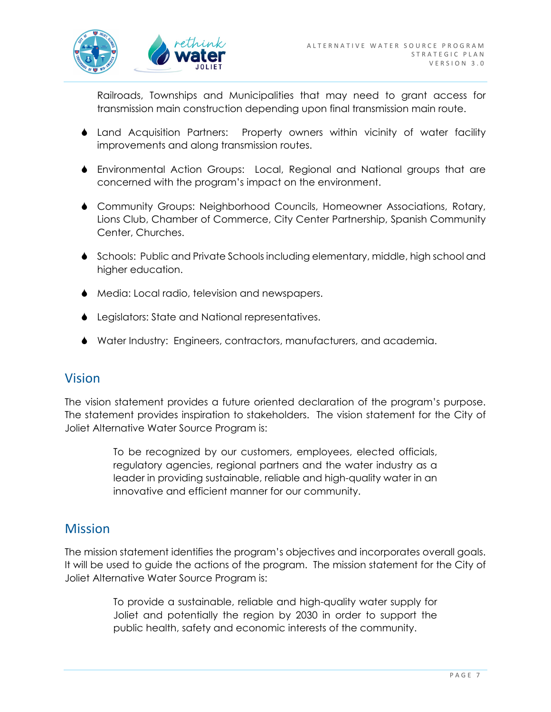

Railroads, Townships and Municipalities that may need to grant access for transmission main construction depending upon final transmission main route.

- Land Acquisition Partners: Property owners within vicinity of water facility improvements and along transmission routes.
- Environmental Action Groups: Local, Regional and National groups that are concerned with the program's impact on the environment.
- Community Groups: Neighborhood Councils, Homeowner Associations, Rotary, Lions Club, Chamber of Commerce, City Center Partnership, Spanish Community Center, Churches.
- Schools: Public and Private Schools including elementary, middle, high school and higher education.
- Media: Local radio, television and newspapers.
- ◆ Legislators: State and National representatives.
- Water Industry: Engineers, contractors, manufacturers, and academia.

## Vision

The vision statement provides a future oriented declaration of the program's purpose. The statement provides inspiration to stakeholders. The vision statement for the City of Joliet Alternative Water Source Program is:

> To be recognized by our customers, employees, elected officials, regulatory agencies, regional partners and the water industry as a leader in providing sustainable, reliable and high-quality water in an innovative and efficient manner for our community.

## **Mission**

The mission statement identifies the program's objectives and incorporates overall goals. It will be used to guide the actions of the program. The mission statement for the City of Joliet Alternative Water Source Program is:

> To provide a sustainable, reliable and high-quality water supply for Joliet and potentially the region by 2030 in order to support the public health, safety and economic interests of the community.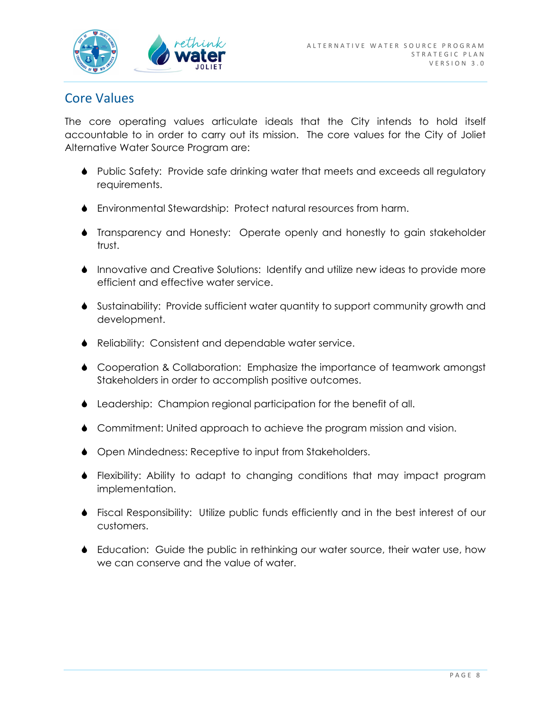

# Core Values

The core operating values articulate ideals that the City intends to hold itself accountable to in order to carry out its mission. The core values for the City of Joliet Alternative Water Source Program are:

- Public Safety: Provide safe drinking water that meets and exceeds all regulatory requirements.
- Environmental Stewardship: Protect natural resources from harm.
- Transparency and Honesty: Operate openly and honestly to gain stakeholder trust.
- Innovative and Creative Solutions: Identify and utilize new ideas to provide more efficient and effective water service.
- Sustainability: Provide sufficient water quantity to support community growth and development.
- ♦ Reliability: Consistent and dependable water service.
- Cooperation & Collaboration: Emphasize the importance of teamwork amongst Stakeholders in order to accomplish positive outcomes.
- Leadership: Champion regional participation for the benefit of all.
- Commitment: United approach to achieve the program mission and vision.
- ♦ Open Mindedness: Receptive to input from Stakeholders.
- Flexibility: Ability to adapt to changing conditions that may impact program implementation.
- Fiscal Responsibility: Utilize public funds efficiently and in the best interest of our customers.
- Education: Guide the public in rethinking our water source, their water use, how we can conserve and the value of water.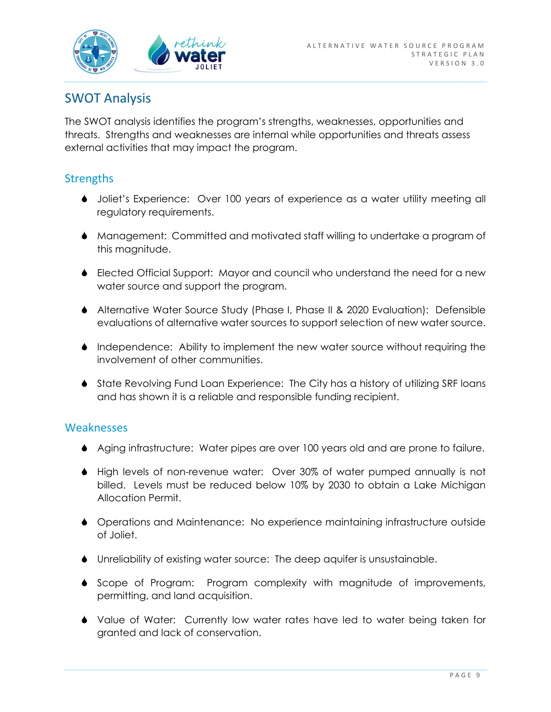

# SWOT Analysis

The SWOT analysis identifies the program's strengths, weaknesses, opportunities and threats. Strengths and weaknesses are internal while opportunities and threats assess external activities that may impact the program.

### **Strengths**

- Joliet's Experience: Over 100 years of experience as a water utility meeting all regulatory requirements.
- Management: Committed and motivated staff willing to undertake a program of this magnitude.
- Elected Official Support: Mayor and council who understand the need for a new water source and support the program.
- Alternative Water Source Study (Phase I, Phase II & 2020 Evaluation): Defensible evaluations of alternative water sources to support selection of new water source.
- Independence: Ability to implement the new water source without requiring the involvement of other communities.
- State Revolving Fund Loan Experience: The City has a history of utilizing SRF loans and has shown it is a reliable and responsible funding recipient.

#### **Weaknesses**

- Aging infrastructure: Water pipes are over 100 years old and are prone to failure.
- High levels of non-revenue water: Over 30% of water pumped annually is not billed. Levels must be reduced below 10% by 2030 to obtain a Lake Michigan Allocation Permit.
- Operations and Maintenance: No experience maintaining infrastructure outside of Joliet.
- Unreliability of existing water source: The deep aquifer is unsustainable.
- ♦ Scope of Program: Program complexity with magnitude of improvements, permitting, and land acquisition.
- Value of Water: Currently low water rates have led to water being taken for granted and lack of conservation.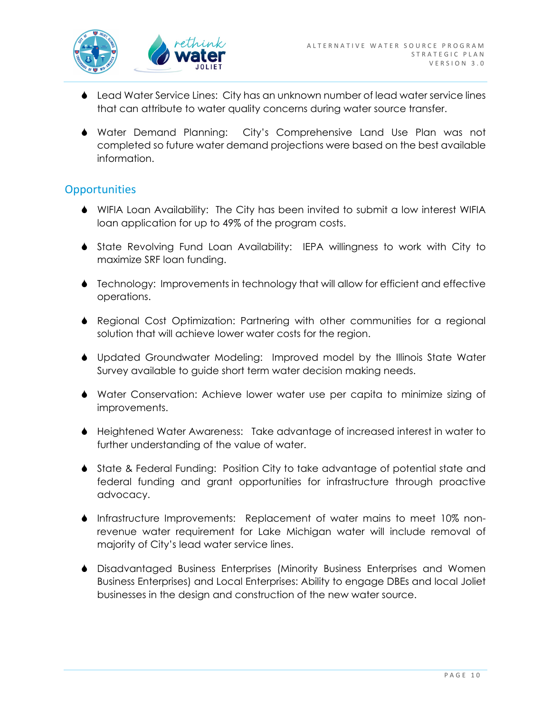

- Lead Water Service Lines: City has an unknown number of lead water service lines that can attribute to water quality concerns during water source transfer.
- Water Demand Planning: City's Comprehensive Land Use Plan was not completed so future water demand projections were based on the best available information.

#### **Opportunities**

- WIFIA Loan Availability: The City has been invited to submit a low interest WIFIA loan application for up to 49% of the program costs.
- State Revolving Fund Loan Availability: IEPA willingness to work with City to maximize SRF loan funding.
- Technology: Improvements in technology that will allow for efficient and effective operations.
- Regional Cost Optimization: Partnering with other communities for a regional solution that will achieve lower water costs for the region.
- Updated Groundwater Modeling: Improved model by the Illinois State Water Survey available to guide short term water decision making needs.
- Water Conservation: Achieve lower water use per capita to minimize sizing of improvements.
- Heightened Water Awareness: Take advantage of increased interest in water to further understanding of the value of water.
- State & Federal Funding: Position City to take advantage of potential state and federal funding and grant opportunities for infrastructure through proactive advocacy.
- Infrastructure Improvements: Replacement of water mains to meet 10% nonrevenue water requirement for Lake Michigan water will include removal of majority of City's lead water service lines.
- Disadvantaged Business Enterprises (Minority Business Enterprises and Women Business Enterprises) and Local Enterprises: Ability to engage DBEs and local Joliet businesses in the design and construction of the new water source.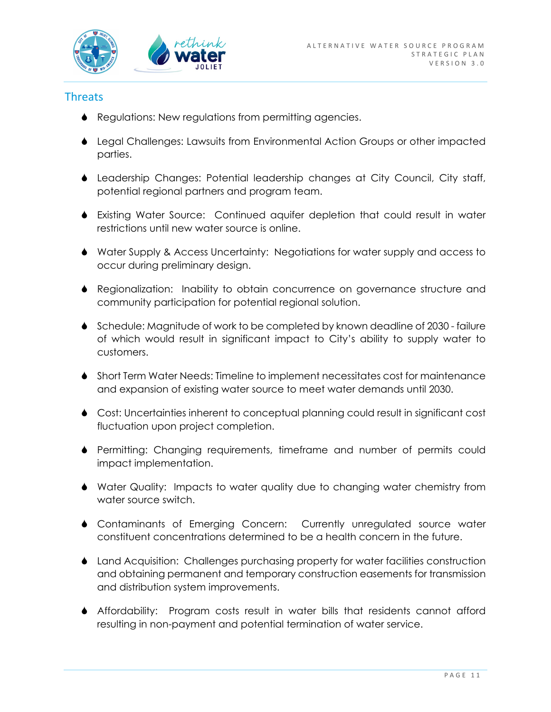

### **Threats**

- ♦ Regulations: New regulations from permitting agencies.
- Legal Challenges: Lawsuits from Environmental Action Groups or other impacted parties.
- Leadership Changes: Potential leadership changes at City Council, City staff, potential regional partners and program team.
- Existing Water Source: Continued aquifer depletion that could result in water restrictions until new water source is online.
- Water Supply & Access Uncertainty: Negotiations for water supply and access to occur during preliminary design.
- Regionalization: Inability to obtain concurrence on governance structure and community participation for potential regional solution.
- Schedule: Magnitude of work to be completed by known deadline of 2030 failure of which would result in significant impact to City's ability to supply water to customers.
- Short Term Water Needs: Timeline to implement necessitates cost for maintenance and expansion of existing water source to meet water demands until 2030.
- Cost: Uncertainties inherent to conceptual planning could result in significant cost fluctuation upon project completion.
- Permitting: Changing requirements, timeframe and number of permits could impact implementation.
- Water Quality: Impacts to water quality due to changing water chemistry from water source switch.
- Contaminants of Emerging Concern: Currently unregulated source water constituent concentrations determined to be a health concern in the future.
- Land Acquisition: Challenges purchasing property for water facilities construction and obtaining permanent and temporary construction easements for transmission and distribution system improvements.
- Affordability: Program costs result in water bills that residents cannot afford resulting in non-payment and potential termination of water service.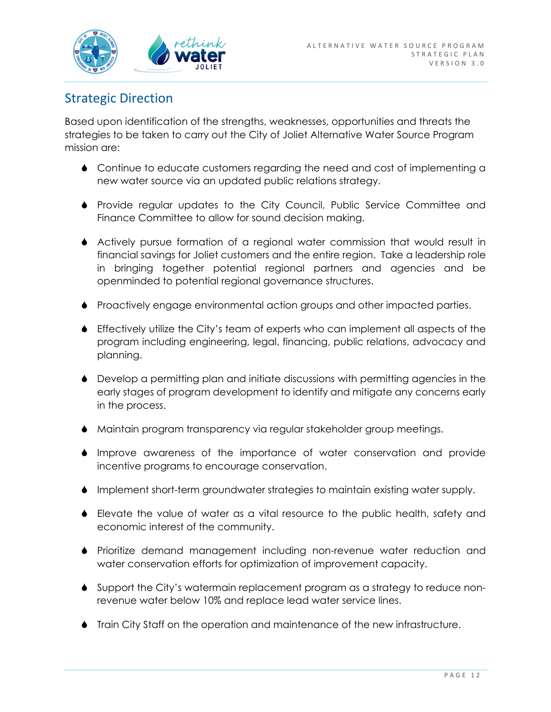

# Strategic Direction

Based upon identification of the strengths, weaknesses, opportunities and threats the strategies to be taken to carry out the City of Joliet Alternative Water Source Program mission are:

- Continue to educate customers regarding the need and cost of implementing a new water source via an updated public relations strategy.
- Provide regular updates to the City Council, Public Service Committee and Finance Committee to allow for sound decision making.
- Actively pursue formation of a regional water commission that would result in financial savings for Joliet customers and the entire region. Take a leadership role in bringing together potential regional partners and agencies and be openminded to potential regional governance structures.
- Proactively engage environmental action groups and other impacted parties.
- Effectively utilize the City's team of experts who can implement all aspects of the program including engineering, legal, financing, public relations, advocacy and planning.
- Develop a permitting plan and initiate discussions with permitting agencies in the early stages of program development to identify and mitigate any concerns early in the process.
- Maintain program transparency via regular stakeholder group meetings.
- Improve awareness of the importance of water conservation and provide incentive programs to encourage conservation.
- Implement short-term groundwater strategies to maintain existing water supply.
- Elevate the value of water as a vital resource to the public health, safety and economic interest of the community.
- Prioritize demand management including non-revenue water reduction and water conservation efforts for optimization of improvement capacity.
- Support the City's watermain replacement program as a strategy to reduce nonrevenue water below 10% and replace lead water service lines.
- Train City Staff on the operation and maintenance of the new infrastructure.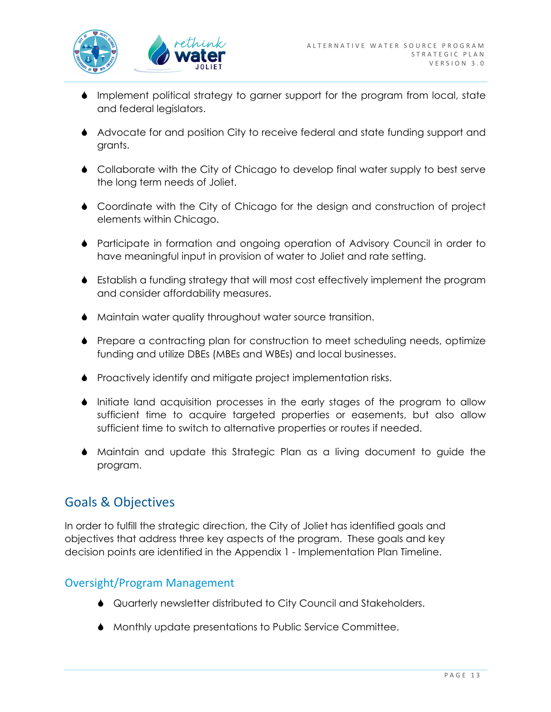

- Implement political strategy to garner support for the program from local, state and federal legislators.
- Advocate for and position City to receive federal and state funding support and grants.
- Collaborate with the City of Chicago to develop final water supply to best serve the long term needs of Joliet.
- Coordinate with the City of Chicago for the design and construction of project elements within Chicago.
- Participate in formation and ongoing operation of Advisory Council in order to have meaningful input in provision of water to Joliet and rate setting.
- Establish a funding strategy that will most cost effectively implement the program and consider affordability measures.
- Maintain water quality throughout water source transition.
- Prepare a contracting plan for construction to meet scheduling needs, optimize funding and utilize DBEs (MBEs and WBEs) and local businesses.
- **•** Proactively identify and mitigate project implementation risks.
- Initiate land acquisition processes in the early stages of the program to allow sufficient time to acquire targeted properties or easements, but also allow sufficient time to switch to alternative properties or routes if needed.
- Maintain and update this Strategic Plan as a living document to guide the program.

# Goals & Objectives

In order to fulfill the strategic direction, the City of Joliet has identified goals and objectives that address three key aspects of the program. These goals and key decision points are identified in the Appendix 1 - Implementation Plan Timeline.

#### Oversight/Program Management

- Quarterly newsletter distributed to City Council and Stakeholders.
- Monthly update presentations to Public Service Committee.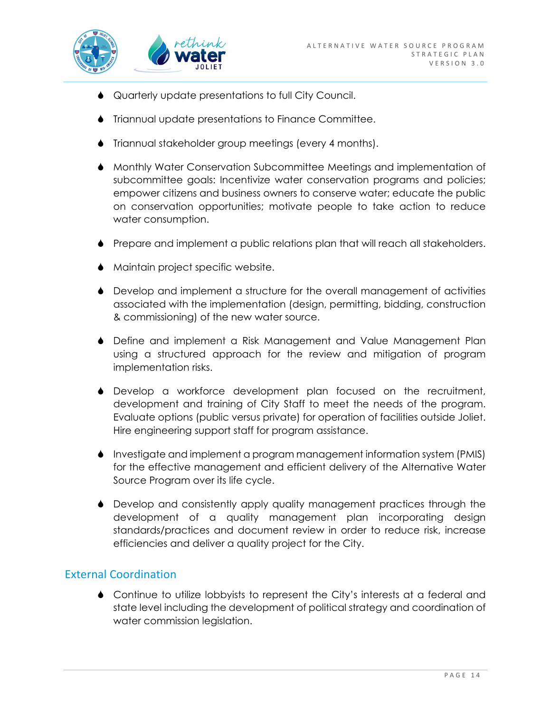

- Quarterly update presentations to full City Council.
- Triannual update presentations to Finance Committee.
- Triannual stakeholder group meetings (every 4 months).
- Monthly Water Conservation Subcommittee Meetings and implementation of subcommittee goals: Incentivize water conservation programs and policies; empower citizens and business owners to conserve water; educate the public on conservation opportunities; motivate people to take action to reduce water consumption.
- Prepare and implement a public relations plan that will reach all stakeholders.
- Maintain project specific website.
- Develop and implement a structure for the overall management of activities associated with the implementation (design, permitting, bidding, construction & commissioning) of the new water source.
- Define and implement a Risk Management and Value Management Plan using a structured approach for the review and mitigation of program implementation risks.
- Develop a workforce development plan focused on the recruitment, development and training of City Staff to meet the needs of the program. Evaluate options (public versus private) for operation of facilities outside Joliet. Hire engineering support staff for program assistance.
- Investigate and implement a program management information system (PMIS) for the effective management and efficient delivery of the Alternative Water Source Program over its life cycle.
- Develop and consistently apply quality management practices through the development of a quality management plan incorporating design standards/practices and document review in order to reduce risk, increase efficiencies and deliver a quality project for the City.

#### External Coordination

 Continue to utilize lobbyists to represent the City's interests at a federal and state level including the development of political strategy and coordination of water commission legislation.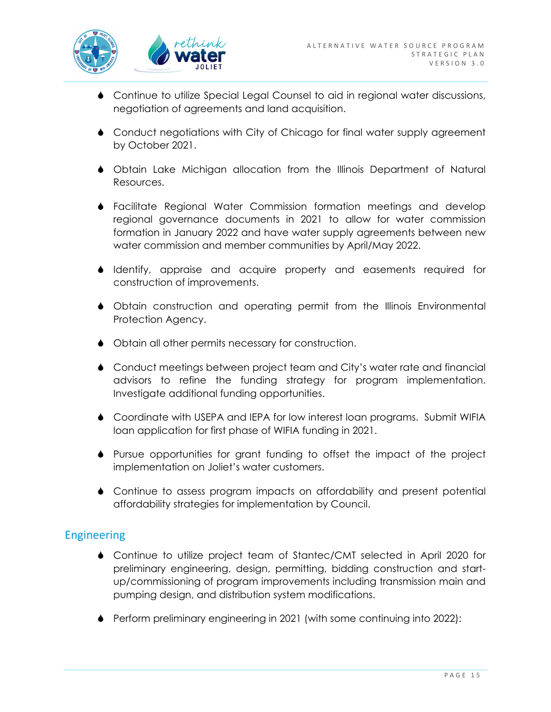

- Continue to utilize Special Legal Counsel to aid in regional water discussions, negotiation of agreements and land acquisition.
- Conduct negotiations with City of Chicago for final water supply agreement by October 2021.
- Obtain Lake Michigan allocation from the Illinois Department of Natural Resources.
- Facilitate Regional Water Commission formation meetings and develop regional governance documents in 2021 to allow for water commission formation in January 2022 and have water supply agreements between new water commission and member communities by April/May 2022.
- Identify, appraise and acquire property and easements required for construction of improvements.
- Obtain construction and operating permit from the Illinois Environmental Protection Agency.
- Obtain all other permits necessary for construction.
- Conduct meetings between project team and City's water rate and financial advisors to refine the funding strategy for program implementation. Investigate additional funding opportunities.
- Coordinate with USEPA and IEPA for low interest loan programs. Submit WIFIA loan application for first phase of WIFIA funding in 2021.
- Pursue opportunities for grant funding to offset the impact of the project implementation on Joliet's water customers.
- Continue to assess program impacts on affordability and present potential affordability strategies for implementation by Council.

#### Engineering

- Continue to utilize project team of Stantec/CMT selected in April 2020 for preliminary engineering, design, permitting, bidding construction and startup/commissioning of program improvements including transmission main and pumping design, and distribution system modifications.
- Perform preliminary engineering in 2021 (with some continuing into 2022):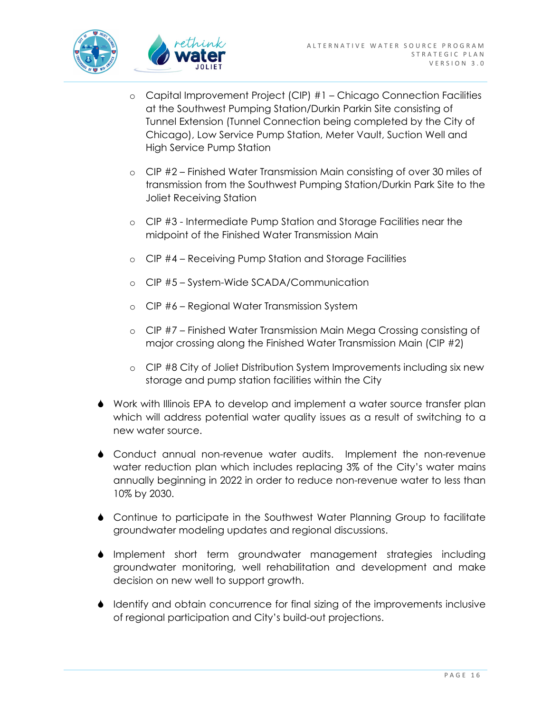

- o Capital Improvement Project (CIP) #1 Chicago Connection Facilities at the Southwest Pumping Station/Durkin Parkin Site consisting of Tunnel Extension (Tunnel Connection being completed by the City of Chicago), Low Service Pump Station, Meter Vault, Suction Well and High Service Pump Station
- o CIP #2 Finished Water Transmission Main consisting of over 30 miles of transmission from the Southwest Pumping Station/Durkin Park Site to the Joliet Receiving Station
- o CIP #3 Intermediate Pump Station and Storage Facilities near the midpoint of the Finished Water Transmission Main
- o CIP #4 Receiving Pump Station and Storage Facilities
- o CIP #5 System-Wide SCADA/Communication
- o CIP #6 Regional Water Transmission System
- o CIP #7 Finished Water Transmission Main Mega Crossing consisting of major crossing along the Finished Water Transmission Main (CIP #2)
- o CIP #8 City of Joliet Distribution System Improvements including six new storage and pump station facilities within the City
- Work with Illinois EPA to develop and implement a water source transfer plan which will address potential water quality issues as a result of switching to a new water source.
- Conduct annual non-revenue water audits. Implement the non-revenue water reduction plan which includes replacing 3% of the City's water mains annually beginning in 2022 in order to reduce non-revenue water to less than 10% by 2030.
- Continue to participate in the Southwest Water Planning Group to facilitate groundwater modeling updates and regional discussions.
- Implement short term groundwater management strategies including groundwater monitoring, well rehabilitation and development and make decision on new well to support growth.
- Identify and obtain concurrence for final sizing of the improvements inclusive of regional participation and City's build-out projections.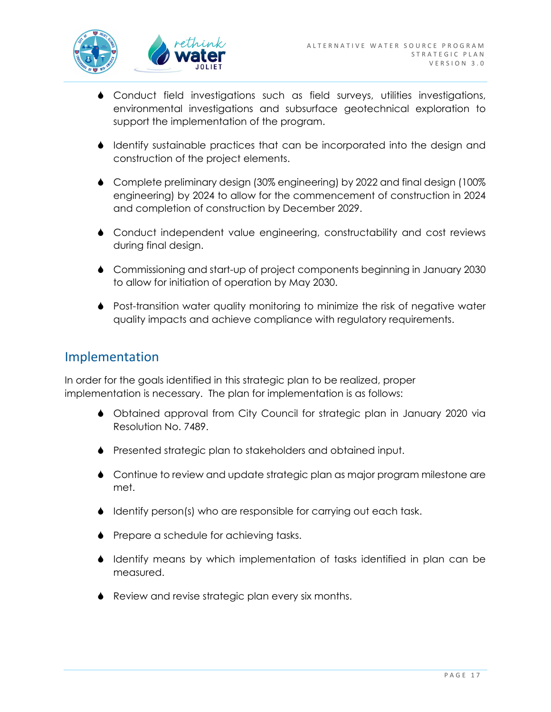

- Conduct field investigations such as field surveys, utilities investigations, environmental investigations and subsurface geotechnical exploration to support the implementation of the program.
- Identify sustainable practices that can be incorporated into the design and construction of the project elements.
- Complete preliminary design (30% engineering) by 2022 and final design (100% engineering) by 2024 to allow for the commencement of construction in 2024 and completion of construction by December 2029.
- Conduct independent value engineering, constructability and cost reviews during final design.
- Commissioning and start-up of project components beginning in January 2030 to allow for initiation of operation by May 2030.
- Post-transition water quality monitoring to minimize the risk of negative water quality impacts and achieve compliance with regulatory requirements.

# Implementation

In order for the goals identified in this strategic plan to be realized, proper implementation is necessary. The plan for implementation is as follows:

- Obtained approval from City Council for strategic plan in January 2020 via Resolution No. 7489.
- ♦ Presented strategic plan to stakeholders and obtained input.
- Continue to review and update strategic plan as major program milestone are met.
- ♦ Identify person(s) who are responsible for carrying out each task.
- **•** Prepare a schedule for achieving tasks.
- Identify means by which implementation of tasks identified in plan can be measured.
- ♦ Review and revise strategic plan every six months.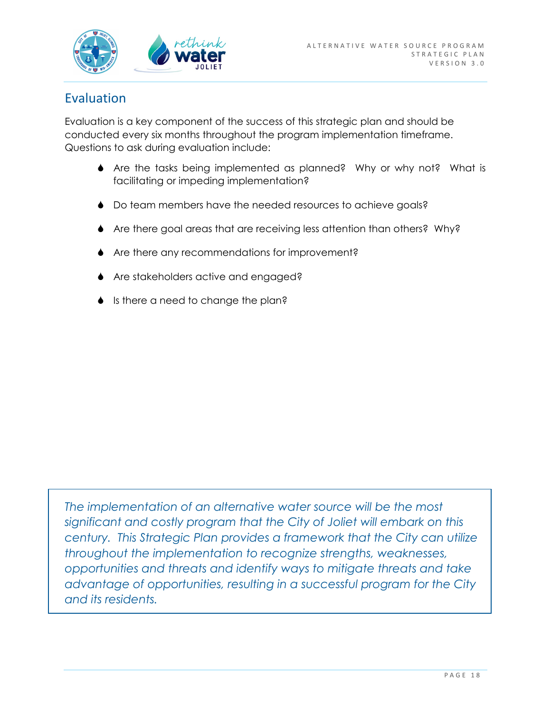

# Evaluation

Evaluation is a key component of the success of this strategic plan and should be conducted every six months throughout the program implementation timeframe. Questions to ask during evaluation include:

- Are the tasks being implemented as planned? Why or why not? What is facilitating or impeding implementation?
- ◆ Do team members have the needed resources to achieve goals?
- Are there goal areas that are receiving less attention than others? Why?
- ♦ Are there any recommendations for improvement?
- ♦ Are stakeholders active and engaged?
- $\bullet$  Is there a need to change the plan?

*The implementation of an alternative water source will be the most significant and costly program that the City of Joliet will embark on this century. This Strategic Plan provides a framework that the City can utilize throughout the implementation to recognize strengths, weaknesses, opportunities and threats and identify ways to mitigate threats and take advantage of opportunities, resulting in a successful program for the City and its residents.*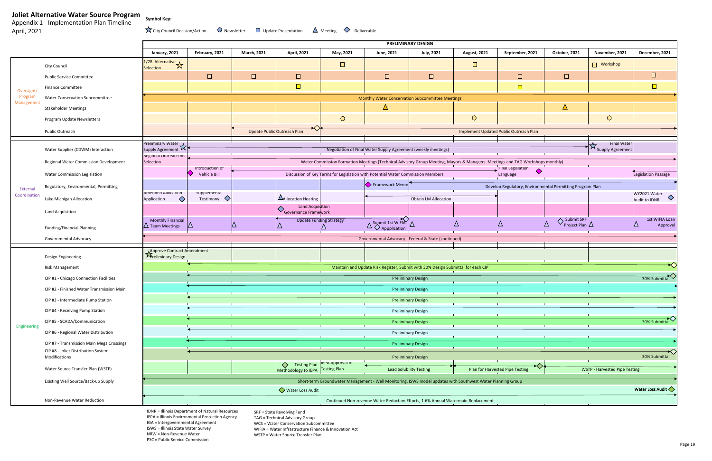|                                     |                                                      | <b>PRELIMINARY DESIGN</b>                          |                                                                                  |                                                                                                                              |                                                                   |                                                                                 |                                                                                                                            |                                |                                                                                                             |                                                           |                                                           |                                      |                                   |
|-------------------------------------|------------------------------------------------------|----------------------------------------------------|----------------------------------------------------------------------------------|------------------------------------------------------------------------------------------------------------------------------|-------------------------------------------------------------------|---------------------------------------------------------------------------------|----------------------------------------------------------------------------------------------------------------------------|--------------------------------|-------------------------------------------------------------------------------------------------------------|-----------------------------------------------------------|-----------------------------------------------------------|--------------------------------------|-----------------------------------|
|                                     |                                                      | January, 2021                                      | February, 2021                                                                   | <b>March, 2021</b>                                                                                                           | <b>April, 2021</b>                                                | May, 2021                                                                       | June, 2021                                                                                                                 | <b>July, 2021</b>              | <b>August, 2021</b>                                                                                         | September, 2021                                           | October, 2021                                             | November, 2021                       | December, 2021                    |
| Oversight/<br>Program<br>Management | <b>City Council</b>                                  | 1/28 Alternative<br>Selection<br>Selection         |                                                                                  |                                                                                                                              |                                                                   | $\Box$                                                                          |                                                                                                                            |                                | $\Box$                                                                                                      |                                                           |                                                           | Workshop                             |                                   |
|                                     | <b>Public Service Committee</b>                      |                                                    | $\Box$                                                                           | $\Box$                                                                                                                       | $\Box$                                                            |                                                                                 | $\Box$                                                                                                                     | $\Box$                         |                                                                                                             | $\Box$                                                    | $\Box$                                                    |                                      | $\Box$                            |
|                                     | <b>Finance Committee</b>                             |                                                    |                                                                                  |                                                                                                                              | $\Box$                                                            |                                                                                 |                                                                                                                            |                                |                                                                                                             | $\Box$                                                    |                                                           |                                      | $\Box$                            |
|                                     | <b>Water Conservation Subcommittee</b>               |                                                    |                                                                                  |                                                                                                                              |                                                                   |                                                                                 | Monthly Water Conservation Subcommittee Meetings                                                                           |                                |                                                                                                             |                                                           |                                                           |                                      |                                   |
|                                     | <b>Stakeholder Meetings</b>                          |                                                    |                                                                                  |                                                                                                                              |                                                                   |                                                                                 | $\Delta$                                                                                                                   |                                |                                                                                                             |                                                           | $\triangle$                                               |                                      |                                   |
|                                     | Program Update Newsletters                           |                                                    |                                                                                  |                                                                                                                              |                                                                   | $\circ$                                                                         |                                                                                                                            |                                | $\circ$                                                                                                     |                                                           |                                                           | $\circ$                              |                                   |
|                                     | Public Outreach                                      |                                                    |                                                                                  |                                                                                                                              | $\bigstar$<br>Update Public Outreach Plan                         |                                                                                 |                                                                                                                            |                                |                                                                                                             | Implement Updated Public Outreach Plan                    |                                                           |                                      |                                   |
|                                     | Water Supplier (CDWM) Interaction                    | Preliminary Water<br>Supply Agreement              |                                                                                  |                                                                                                                              |                                                                   |                                                                                 | Negotiation of Final Water Supply Agreement (weekly meetings)                                                              |                                |                                                                                                             |                                                           |                                                           | Bupply Agreement                     |                                   |
| External<br>Coordination            | Regional Water Commission Development                | Regional Outreach on<br>Selection                  | Introduction of                                                                  | Water Commission Formation Meetings (Technical Advisory Group Meeting, Mayors & Managers Meetings and TAG Workshops monthly) |                                                                   |                                                                                 |                                                                                                                            |                                |                                                                                                             |                                                           |                                                           |                                      |                                   |
|                                     | Water Commission Legislation                         |                                                    | Vehicle Bill                                                                     |                                                                                                                              |                                                                   | Discussion of Key Terms for Legislation with Potential Water Commission Members |                                                                                                                            |                                |                                                                                                             | Final Legislation<br>Language                             |                                                           |                                      | Legislation Passage               |
|                                     | Regulatory, Environmental, Permitting                |                                                    |                                                                                  |                                                                                                                              |                                                                   |                                                                                 | Framework Memo                                                                                                             |                                |                                                                                                             | Develop Regulatory, Environmental Permitting Program Plan |                                                           |                                      |                                   |
|                                     | Lake Michigan Allocation                             | Amended Allocation<br>♦<br>Application             | Supplemental<br>Testimony $\Diamond$                                             |                                                                                                                              | $\Delta$ Allocation Hearing                                       |                                                                                 |                                                                                                                            | <b>Obtain LM Allocation</b>    |                                                                                                             |                                                           |                                                           |                                      | WY2021 Water<br>Audit to IDNR     |
|                                     | Land Acquisition                                     |                                                    |                                                                                  |                                                                                                                              | Land Acquisition<br>Governance Framework                          |                                                                                 |                                                                                                                            |                                |                                                                                                             |                                                           |                                                           |                                      |                                   |
|                                     | <b>Funding/Financial Planning</b>                    | <b>Monthly Financial</b><br>$\Delta$ Team Meetings | $\sqrt{2}$                                                                       |                                                                                                                              | $ \Delta $                                                        | <b>Update Funding Strategy</b><br>$\triangle$                                   | $\overbrace{\bigtriangleup \bigotimes_{\text{Appplication}}^{\text{Submit 1st WIFIA}} \bigtriangleup}^{\text{Submit 1st}}$ |                                | $\Delta$                                                                                                    | Δ                                                         | Submit SRF<br>$\Delta$<br>$^\prime$ Project Plan $\Delta$ |                                      | 1st WIFIA Lo<br>$\Delta$<br>Appro |
|                                     | Governmental Advocacy                                |                                                    |                                                                                  |                                                                                                                              |                                                                   |                                                                                 | Governmental Advocacy - Federal & State (continued)                                                                        |                                |                                                                                                             |                                                           |                                                           |                                      |                                   |
|                                     |                                                      | AApprove Contract Amendment -                      |                                                                                  |                                                                                                                              |                                                                   |                                                                                 |                                                                                                                            |                                |                                                                                                             |                                                           |                                                           |                                      |                                   |
|                                     | Design Engineering                                   | <b>A</b> reliminary Design                         |                                                                                  |                                                                                                                              |                                                                   |                                                                                 |                                                                                                                            |                                |                                                                                                             |                                                           |                                                           |                                      |                                   |
|                                     | <b>Risk Management</b>                               |                                                    | Maintain and Update Risk Register, Submit with 30% Design Submittal for each CIP |                                                                                                                              |                                                                   |                                                                                 |                                                                                                                            |                                |                                                                                                             |                                                           |                                                           |                                      |                                   |
|                                     | CIP #1 - Chicago Connection Facilities               |                                                    |                                                                                  |                                                                                                                              |                                                                   |                                                                                 |                                                                                                                            | <b>Preliminary Design</b>      |                                                                                                             |                                                           |                                                           |                                      | 30% Submittal                     |
|                                     | CIP #2 - Finished Water Transmission Main            |                                                    |                                                                                  |                                                                                                                              |                                                                   |                                                                                 |                                                                                                                            | <b>Preliminary Design</b>      |                                                                                                             |                                                           |                                                           |                                      |                                   |
|                                     | CIP #3 - Intermediate Pump Station                   |                                                    |                                                                                  |                                                                                                                              |                                                                   |                                                                                 |                                                                                                                            | <b>Preliminary Design</b>      |                                                                                                             |                                                           |                                                           |                                      |                                   |
|                                     | CIP #4 - Receiving Pump Station                      |                                                    |                                                                                  |                                                                                                                              |                                                                   |                                                                                 |                                                                                                                            | <b>Preliminary Design</b>      |                                                                                                             |                                                           |                                                           |                                      |                                   |
|                                     | CIP #5 - SCADA/Communication                         |                                                    |                                                                                  |                                                                                                                              |                                                                   |                                                                                 |                                                                                                                            | <b>Preliminary Design</b>      |                                                                                                             |                                                           |                                                           |                                      | 30% Submittal                     |
| Engineering                         | CIP #6 - Regional Water Distribution                 |                                                    |                                                                                  |                                                                                                                              |                                                                   |                                                                                 |                                                                                                                            | <b>Preliminary Design</b>      |                                                                                                             |                                                           |                                                           |                                      |                                   |
|                                     | CIP #7 - Transmission Main Mega Crossings            |                                                    |                                                                                  |                                                                                                                              |                                                                   |                                                                                 |                                                                                                                            | <b>Preliminary Design</b>      |                                                                                                             |                                                           |                                                           |                                      |                                   |
|                                     | CIP #8 - Joliet Distribution System<br>Modifications |                                                    |                                                                                  |                                                                                                                              |                                                                   | <b>Preliminary Design</b>                                                       |                                                                                                                            |                                |                                                                                                             |                                                           |                                                           | 30% Submittal                        |                                   |
|                                     | Water Source Transfer Plan (WSTP)                    |                                                    |                                                                                  |                                                                                                                              | Testing Plan IEPA Approval of<br>Methodology to IEPA Testing Plan |                                                                                 |                                                                                                                            | <b>Lead Solubility Testing</b> |                                                                                                             | ▶◇ト<br>Plan for Harvested Pipe Testing                    |                                                           | <b>WSTP - Harvested Pipe Testing</b> |                                   |
|                                     | Existing Well Source/Back-up Supply                  |                                                    |                                                                                  |                                                                                                                              |                                                                   |                                                                                 |                                                                                                                            |                                | Short-term Groundwater Management - Well Monitoring, ISWS model updates with Southwest Water Planning Group |                                                           |                                                           |                                      |                                   |
|                                     |                                                      |                                                    | Water Loss Audit                                                                 |                                                                                                                              |                                                                   |                                                                                 |                                                                                                                            |                                |                                                                                                             | Water Loss Audit                                          |                                                           |                                      |                                   |
|                                     | Non-Revenue Water Reduction                          |                                                    |                                                                                  |                                                                                                                              |                                                                   |                                                                                 | Continued Non-revenue Water Reduction Efforts, 1.6% Annual Watermain Replacement                                           |                                |                                                                                                             |                                                           |                                                           |                                      |                                   |

#### **Joliet Alternative Water Source Program**

| 1    | September, 2021                                           | October, 2021                            | November, 2021                           | December, 2021                  |
|------|-----------------------------------------------------------|------------------------------------------|------------------------------------------|---------------------------------|
|      |                                                           |                                          | Workshop                                 |                                 |
|      |                                                           |                                          |                                          | П                               |
|      | Q                                                         |                                          |                                          |                                 |
|      |                                                           |                                          |                                          |                                 |
|      |                                                           | $\Delta$                                 |                                          |                                 |
|      |                                                           |                                          | $\bigcirc$                               |                                 |
|      | dated Public Outreach Plan                                |                                          |                                          |                                 |
|      |                                                           |                                          |                                          |                                 |
|      |                                                           |                                          | <b>Final Water</b><br>W Supply Agreement |                                 |
|      | Meetings and TAG Workshops monthly)                       |                                          |                                          |                                 |
|      | Final Legislation                                         |                                          |                                          | L                               |
|      | Language                                                  |                                          |                                          | Legislation Passage             |
|      | Develop Regulatory, Environmental Permitting Program Plan |                                          |                                          |                                 |
|      |                                                           |                                          |                                          | WY2021 Water<br>Audit to IDNR   |
|      |                                                           |                                          |                                          |                                 |
|      | Λ                                                         | Submit SRF<br>Δ<br>Project Plan $\Delta$ |                                          | 1st WIFIA Loan<br>Δ<br>Approval |
|      |                                                           |                                          |                                          |                                 |
|      |                                                           |                                          |                                          |                                 |
|      |                                                           |                                          |                                          |                                 |
| P    |                                                           |                                          |                                          |                                 |
|      |                                                           |                                          |                                          | 30% Submittal                   |
|      |                                                           |                                          |                                          |                                 |
|      |                                                           |                                          |                                          |                                 |
|      | T                                                         |                                          |                                          |                                 |
|      |                                                           |                                          |                                          | 30% Submitta                    |
|      |                                                           |                                          |                                          | Ţ.                              |
|      |                                                           |                                          |                                          |                                 |
|      |                                                           |                                          |                                          |                                 |
|      |                                                           |                                          |                                          | 30% Submittal                   |
|      | Harvested Pipe Testing                                    |                                          | <b>WSTP - Harvested Pipe Testing</b>     |                                 |
|      | ter Planning Group                                        |                                          |                                          |                                 |
|      |                                                           |                                          |                                          | Water Loss Audit                |
| nent |                                                           |                                          |                                          |                                 |

April, 2021 Appendix 1 ‐ Implementation Plan Timeline

**Symbol Key:**

 $\bigstar$  City Council Decision/Action  $\qquad$  O Newsletter  $\qquad \Box$  Update Presentation  $\qquad \Delta$  Meeting  $\qquad \diamondsuit$  Deliverable

IDNR <sup>=</sup> Illinois Department of Natural Resources IEPA <sup>=</sup> Illinois Environmental Protection Agency IGA <sup>=</sup> Intergovernmental Agreement ISWS <sup>=</sup> Illinois State Water Survey NRW <sup>=</sup> Non‐Revenue Water PSC <sup>=</sup> Public Service Commission

SRF <sup>=</sup> State Revolving Fund TAG <sup>=</sup> Technical Advisory Group WCS <sup>=</sup> Water Conservation Subcommittee WIFIA <sup>=</sup> Water Infrastructure Finance & Innovation Act WSTP <sup>=</sup> Water Source Transfer Plan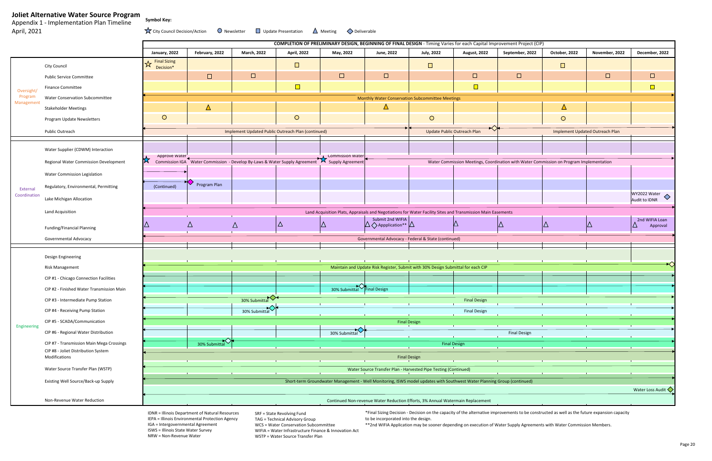#### **Joliet Alternative Water Source Program**

April, 2021 Appendix 1 ‐ Implementation Plan Timeline

\*\*2nd WIFIA Application may be sooner depending on execution of Water Supply Agreements with Water Commission Members.

**COMPLETION OF PRELIMINARY DESIGN, BEGINNING OF FINAL DESIGN** ‐ Timing Varies for each Capital Improvement Project (CIP) January, 2022 | February, 2022 | March, 2022 | April, 2022 | May, 2022 | June, 2022 | July, 2022 | August, 2022 | September, 2022 | October, 2022 | November, 2022 | December, 2022 | December, 2022 Final Sizing  $\Box$  $\Box$ City Council Decision\*  $\Box$  $\Box$  $\Box$  $\Box$  $\Box$  $\Box$ Public Service Committee  $\blacksquare$  $\Box$ Finance Committee Oversight/ Program Monthly Water Conservation Subcommittee Meetings Water Conservation Subcommittee Management  $\Delta$ Stakeholder Meetings  $\circ$  $\circ$  $\circ$ Program Update Newsletters Implement Updated Public Outreach Plan (continued) Update Public Outreach Plan Implement Update Public Outreach Plan Public Outreach Water Supplier (CDWM) Interaction Approve Water Commission Water Regional Water Commission Development Commission IGA Water Commission - Develop By-Laws & Water Supply Agreement Manus Supply Agreement Manus Commission Meetings, Coordination with Water Commission on Program Implementation Water Commission Legislation (Continued) Program Plan Regulatory, Environmental, Permitting External Coordination Lake Michigan Allocation Land Acquisition Land Acquisition Plats, Appraisals and Negotiations for Water Facility Sites and Transmission Main Easements Submit 2nd WIFIA  $\triangle$  $\Delta$  $\triangle$ Δ  $\triangle \diamondsuit$  Appplication\*\*  $\triangle$  $\Delta$ Δ Funding/Financial Planning Governmental Advocacy Governmental Advocacy ‐ Federal & State (continued) Design Engineering Risk Management Maintain and Update Risk Register, Submit with 30% Design Submittal for each CIP CIP #1 ‐ Chicago Connection Facilities CIP #2 ‐ Finished Water Transmission Main 30% Submittal YFinal Design CIP #3 ‐ Intermediate Pump Station 30% Submittal Final Design CIP #4 ‐ Receiving Pump Station Final Design 30% Submittal CIP #5 ‐ SCADA/Communication Final Design Engineering CIP #6 ‐ Regional Water Distribution Final Design 30% Submittal 30% SubmittalCIP #7 ‐ Transmission Main Mega Crossings Final Design CIP #8 ‐ Joliet Distribution System Modifications Final Design Water Source Transfer Plan (WSTP) Water Source Transfer Plan ‐ Harvested Pipe Testing (Continued) Existing Well Source/Back‐up Supply Short‐term Groundwater Management ‐ Well Monitoring, ISWS model updates with Southwest Water Planning Group (continued) Non‐Revenue Water ReductionContinued Non‐revenue Water Reduction Efforts, 3% Annual Watermain Replacement

| pject (CIP)                     |                                           |                |                            |  |  |  |  |  |  |
|---------------------------------|-------------------------------------------|----------------|----------------------------|--|--|--|--|--|--|
| r, 2022                         | October, 2022                             | November, 2022 | December, 2022             |  |  |  |  |  |  |
|                                 | П                                         |                |                            |  |  |  |  |  |  |
|                                 |                                           | □              | Ш                          |  |  |  |  |  |  |
|                                 |                                           |                | $\Box$                     |  |  |  |  |  |  |
|                                 |                                           |                |                            |  |  |  |  |  |  |
|                                 |                                           |                |                            |  |  |  |  |  |  |
|                                 | $\Delta$                                  |                |                            |  |  |  |  |  |  |
|                                 | $\overline{O}$                            |                |                            |  |  |  |  |  |  |
| Implement Updated Outreach Plan |                                           |                |                            |  |  |  |  |  |  |
|                                 |                                           |                |                            |  |  |  |  |  |  |
|                                 |                                           |                |                            |  |  |  |  |  |  |
|                                 | ater Commission on Program Implementation |                |                            |  |  |  |  |  |  |
|                                 |                                           |                |                            |  |  |  |  |  |  |
|                                 |                                           |                |                            |  |  |  |  |  |  |
|                                 |                                           |                | WY2022 Water               |  |  |  |  |  |  |
|                                 |                                           |                | Audit to IDNR              |  |  |  |  |  |  |
|                                 |                                           |                |                            |  |  |  |  |  |  |
|                                 |                                           |                | 2nd WIFIA Loan<br>Approval |  |  |  |  |  |  |
|                                 |                                           |                |                            |  |  |  |  |  |  |
|                                 |                                           |                |                            |  |  |  |  |  |  |
|                                 | Ī.                                        |                |                            |  |  |  |  |  |  |
|                                 |                                           |                |                            |  |  |  |  |  |  |
|                                 |                                           |                |                            |  |  |  |  |  |  |
|                                 |                                           |                |                            |  |  |  |  |  |  |
|                                 |                                           |                |                            |  |  |  |  |  |  |
|                                 | Ť.                                        | Ť.             | Ť                          |  |  |  |  |  |  |
|                                 | Ì.                                        |                |                            |  |  |  |  |  |  |
|                                 | j.<br>Ť                                   |                | ï                          |  |  |  |  |  |  |
| sign                            | í.                                        |                |                            |  |  |  |  |  |  |
|                                 | Ţ.                                        | Ţ.             | Ţ.                         |  |  |  |  |  |  |
|                                 |                                           |                |                            |  |  |  |  |  |  |
|                                 |                                           |                |                            |  |  |  |  |  |  |
|                                 | $\mathbf{r}$                              | $\mathbf{r}$   | $\mathbf{r}$               |  |  |  |  |  |  |
| ued)                            |                                           |                |                            |  |  |  |  |  |  |
|                                 |                                           |                | Water Loss Audit           |  |  |  |  |  |  |

\*Final Sizing Decision ‐ Decision on the capacity of the alternative improvements to be constructed as well as the future expansion capacity to be incorporated into the design.

**Symbol Key:**

 $\chi$  City Council Decision/Action  $\Box$  Newsletter  $\Box$  Update Presentation  $\triangle$  Meeting  $\Diamond$  Deliverable

IDNR <sup>=</sup> Illinois Department of Natural Resources IEPA <sup>=</sup> Illinois Environmental Protection Agency IGA <sup>=</sup> Intergovernmental Agreement ISWS <sup>=</sup> Illinois State Water Survey NRW <sup>=</sup> Non‐Revenue Water

SRF <sup>=</sup> State Revolving Fund TAG <sup>=</sup> Technical Advisory Group WCS <sup>=</sup> Water Conservation Subcommittee WIFIA <sup>=</sup> Water Infrastructure Finance & Innovation Act WSTP <sup>=</sup> Water Source Transfer Plan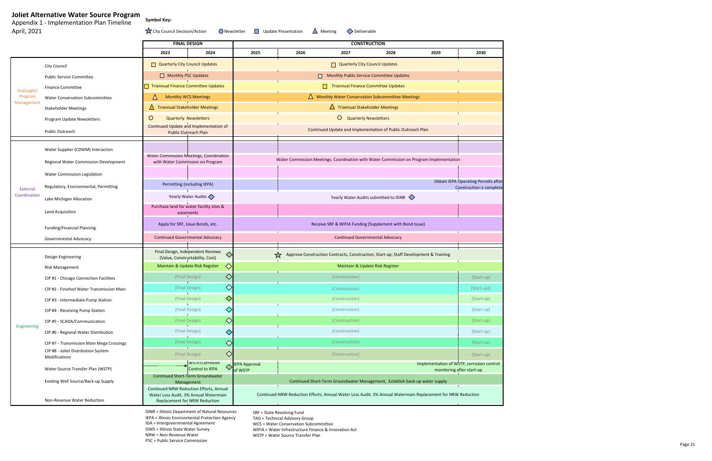#### **Joliet Alternative Water Source Program**

April, 2021 Appendix 1 ‐ Implementation Plan Timeline

 **CONSTRUCTION FINAL DESIGN2023 2024 2025 2026 2027 2028 2029 2030** Quarterly City Council Updates Quarterly City Council Updates City Council  $\Box$  Monthly PSC Updates Monthly Public Service Committee Updates Public Service Committee Triannual Finance Committee Updates Triannual Finance Committee Updates Finance Committee Oversight/  $\triangle$  Monthly Water Conservation Subcommittee Meetings Monthly WCS Meetings Program  $\Delta$ Water Conservation Subcommittee Management Triannual Stakeholder Meetings Triannual Stakeholder Meetings Stakeholder Meetings  $\circ$ Quarterly Newsletters **Quarterly Newsletters Quarterly Newsletters** Program Update Newsletters Continued Update and Implementation of Continued Update and Implementation of Public Outreach Plan Public Outreach Public Outreach Plan Water Supplier (CDWM) Interaction Water Commission Meetings, Coordination Water Commission Meetings, Coordination with Water Commission on Program Implementation Regional Water Commission Development with Water Commission on Program Water Commission Legislation Permitting (including IEPA) **Obtain IEPA Operating Permits after** Construction is complete<br>Construction is complete Regulatory, Environmental, Permitting Construction is complete External Coordination Yearly Water Audits  $\diamondsuit$  and the USA of the Second State Audits submitted to IDNR  $\diamondsuit$ Lake Michigan Allocation Purchase land for water facility sites & Land Acquisition easements Apply for SRF, Issue Bonds, etc. Receive SRF & WIFIA Funding (Supplement with Bond Issue) Funding/Financial Planning Continued Governmental Advocacy Continued Governmental Advocacy Governmental Advocacy Final Design, Independent Reviews ↑ Approve Construction Contracts, Construction, Start-up; Staff Development & Training Design Engineering (Value, Constructability, Cost) Maintain & Update Risk Register Maintain & Update Risk Register Risk Management  $\Diamond$ (Final Design) (Construction) (Start‐up) CIP #1 ‐ Chicago Connection Facilities ♦ (Final Design) (Start‐up)) (Construction) CIP #2 ‐ Finished Water Transmission Main  $\Diamond$ (Construction) (Final Design) (Start‐up) CIP #3 ‐ Intermediate Pump Station (Final Design) ♦ (Construction) (Start‐up) CIP #4 ‐ Receiving Pump Station  $\Diamond$ (Final Design) (Construction) (Start‐up) CIP #5 ‐ SCADA/Communication Engineering (Final Design) ♦ (Construction) (Start‐up) CIP #6 ‐ Regional Water Distribution  $\Diamond$ (Final Design) (Construction) (Start‐up) CIP #7 ‐ Transmission Main Mega Crossings CIP #8 ‐ Joliet Distribution System ♦ (Final Design) (Construction) (Start‐up) Modifications WSTP/Corrosion Implementation of WSTP, corrosion control IEPA Approval  $\Diamond$ Water Source Transfer Plan (WSTP) Control to IEPAmonitoring after start‐up of WSTPContinued Short‐Term Groundwater Existing Well Source/Back‐up Supply Continued Short‐Term Groundwater Management, Establish back‐up water supply Management Continued NRW Reduction Efforts, Annual Water Loss Audit, 3% Annual Watermain Continued NRW Reduction Efforts, Annual Water Loss Audit, 3% Annual Watermain Replacement for NRW Reduction Non‐Revenue Water ReductionReplacement for NRW Reduction

**Symbol Key:**

#### $\chi$  City Council Decision/Action  $\Box$  Newsletter  $\Box$  Update Presentation  $\Box$  Meeting  $\Diamond$  Deliverable

IDNR <sup>=</sup> Illinois Department of Natural Resources IEPA <sup>=</sup> Illinois Environmental Protection Agency IGA <sup>=</sup> Intergovernmental Agreement ISWS <sup>=</sup> Illinois State Water Survey NRW <sup>=</sup> Non‐Revenue Water PSC <sup>=</sup> Public Service Commission

SRF <sup>=</sup> State Revolving Fund TAG <sup>=</sup> Technical Advisory Group

WCS <sup>=</sup> Water Conservation Subcommittee WIFIA <sup>=</sup> Water Infrastructure Finance & Innovation Act

WSTP <sup>=</sup> Water Source Transfer Plan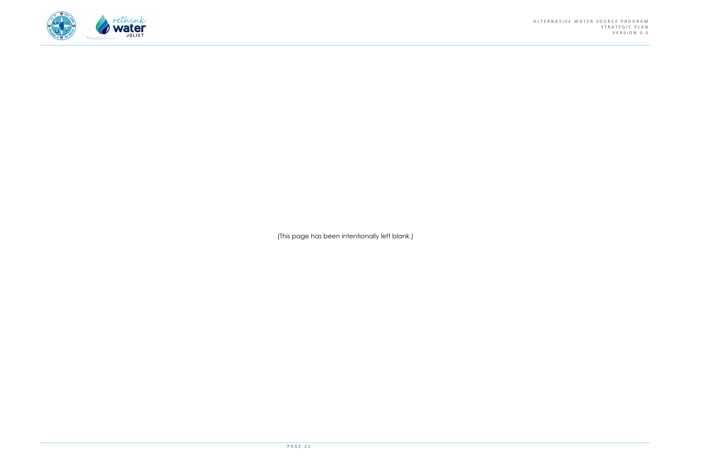

(This page has been intentionally left blank.)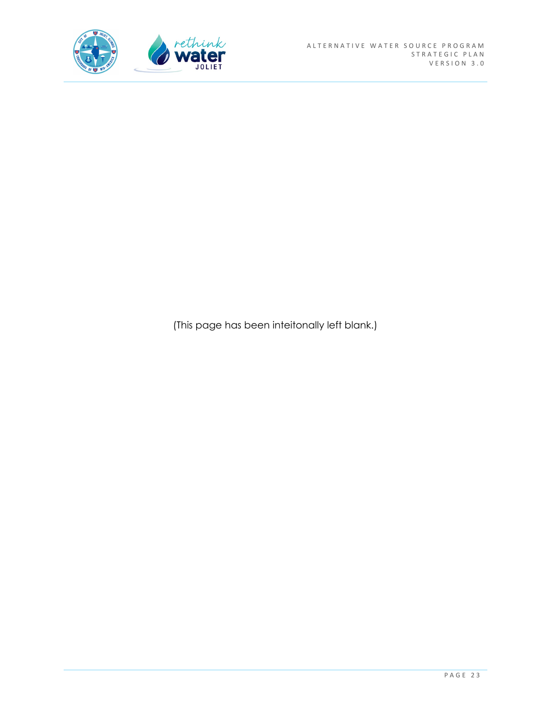

(This page has been inteitonally left blank.)